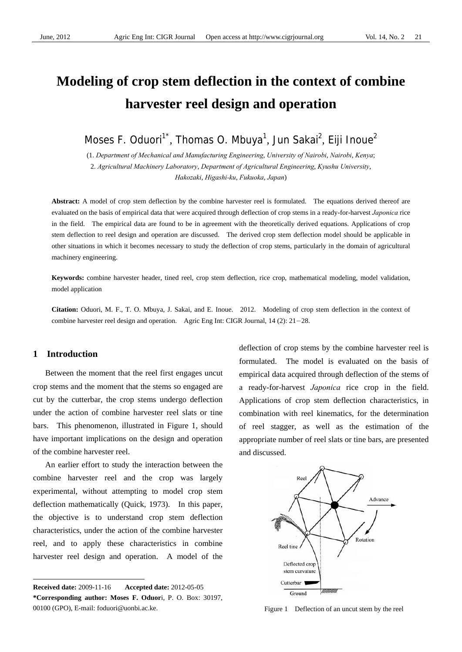# **Modeling of crop stem deflection in the context of combine harvester reel design and operation**

Moses F. Oduori<sup>1\*</sup>, Thomas O. Mbuya<sup>1</sup>, Jun Sakai<sup>2</sup>, Eiji Inoue<sup>2</sup>

(1. *Department of Mechanical and Manufacturing Engineering*, *University of Nairobi*, *Nairobi*, *Kenya*; 2. *Agricultural Machinery Laboratory*, *Department of Agricultural Engineering*, *Kyushu University*, *Hakozaki*, *Higashi-ku*, *Fukuoka*, *Japan*)

**Abstract:** A model of crop stem deflection by the combine harvester reel is formulated. The equations derived thereof are evaluated on the basis of empirical data that were acquired through deflection of crop stems in a ready-for-harvest *Japonica* rice in the field. The empirical data are found to be in agreement with the theoretically derived equations. Applications of crop stem deflection to reel design and operation are discussed. The derived crop stem deflection model should be applicable in other situations in which it becomes necessary to study the deflection of crop stems, particularly in the domain of agricultural machinery engineering.

**Keywords:** combine harvester header, tined reel, crop stem deflection, rice crop, mathematical modeling, model validation, model application

**Citation:** Oduori, M. F., T. O. Mbuya, J. Sakai, and E. Inoue. 2012. Modeling of crop stem deflection in the context of combine harvester reel design and operation. Agric Eng Int: CIGR Journal, 14 (2): 21-28.

### **1 Introduction**

 $\overline{a}$ 

Between the moment that the reel first engages uncut crop stems and the moment that the stems so engaged are cut by the cutterbar, the crop stems undergo deflection under the action of combine harvester reel slats or tine bars. This phenomenon, illustrated in Figure 1, should have important implications on the design and operation of the combine harvester reel.

An earlier effort to study the interaction between the combine harvester reel and the crop was largely experimental, without attempting to model crop stem deflection mathematically (Quick, 1973). In this paper, the objective is to understand crop stem deflection characteristics, under the action of the combine harvester reel, and to apply these characteristics in combine harvester reel design and operation. A model of the deflection of crop stems by the combine harvester reel is formulated. The model is evaluated on the basis of empirical data acquired through deflection of the stems of a ready-for-harvest *Japonica* rice crop in the field. Applications of crop stem deflection characteristics, in combination with reel kinematics, for the determination of reel stagger, as well as the estimation of the appropriate number of reel slats or tine bars, are presented and discussed.



Figure 1 Deflection of an uncut stem by the reel

**Received date:** 2009-11-16 **Accepted date:** 2012-05-05 **\*Corresponding author: Moses F. Oduor**i, P. O. Box: 30197, 00100 (GPO), E-mail: foduori@uonbi.ac.ke.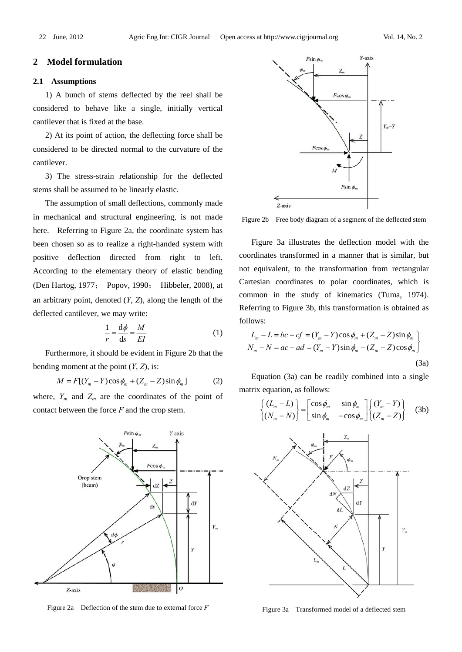#### **2 Model formulation**

#### **2.1 Assumptions**

1) A bunch of stems deflected by the reel shall be considered to behave like a single, initially vertical cantilever that is fixed at the base.

2) At its point of action, the deflecting force shall be considered to be directed normal to the curvature of the cantilever.

3) The stress-strain relationship for the deflected stems shall be assumed to be linearly elastic.

The assumption of small deflections, commonly made in mechanical and structural engineering, is not made here. Referring to Figure 2a, the coordinate system has been chosen so as to realize a right-handed system with positive deflection directed from right to left. According to the elementary theory of elastic bending (Den Hartog, 1977; Popov, 1990; Hibbeler, 2008), at an arbitrary point, denoted (*Y*, *Z*), along the length of the deflected cantilever, we may write:

$$
\frac{1}{r} = \frac{d\phi}{ds} = \frac{M}{EI} \tag{1}
$$

Furthermore, it should be evident in Figure 2b that the bending moment at the point  $(Y, Z)$ , is:

$$
M = F[(Y_m - Y)\cos\phi_m + (Z_m - Z)\sin\phi_m]
$$
 (2)

where,  $Y_m$  and  $Z_m$  are the coordinates of the point of contact between the force *F* and the crop stem.



Figure 2a Deflection of the stem due to external force *F*



Figure 2b Free body diagram of a segment of the deflected stem

Figure 3a illustrates the deflection model with the coordinates transformed in a manner that is similar, but not equivalent, to the transformation from rectangular Cartesian coordinates to polar coordinates, which is common in the study of kinematics (Tuma, 1974). Referring to Figure 3b, this transformation is obtained as follows:

$$
L_m - L = bc + cf = (Y_m - Y)\cos\phi_m + (Z_m - Z)\sin\phi_m
$$
  

$$
N_m - N = ac - ad = (Y_m - Y)\sin\phi_m - (Z_m - Z)\cos\phi_m
$$
  
(3a)

Equation (3a) can be readily combined into a single matrix equation, as follows:

$$
\begin{cases}\n(L_m - L) \\
(N_m - N)\n\end{cases} =\n\begin{bmatrix}\n\cos \phi_m & \sin \phi_m \\
\sin \phi_m & -\cos \phi_m\n\end{bmatrix}\n\begin{cases}\n(Y_m - Y) \\
(Z_m - Z)\n\end{cases} (3b)
$$



Figure 3a Transformed model of a deflected stem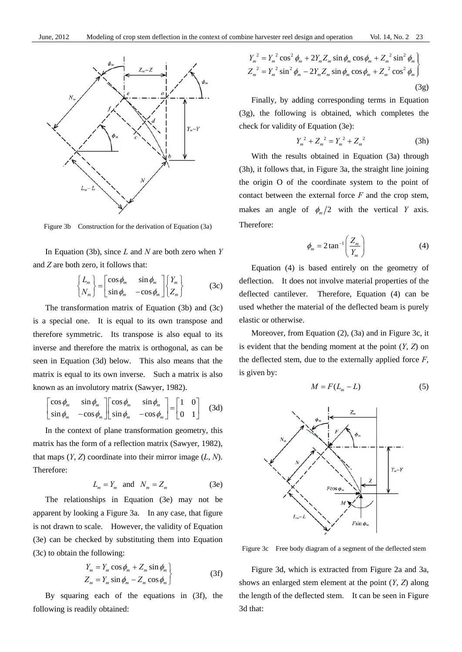

Figure 3b Construction for the derivation of Equation (3a)

In Equation (3b), since *L* and *N* are both zero when *Y* and *Z* are both zero, it follows that:

$$
\begin{Bmatrix} L_m \\ N_m \end{Bmatrix} = \begin{bmatrix} \cos \phi_m & \sin \phi_m \\ \sin \phi_m & -\cos \phi_m \end{bmatrix} \begin{Bmatrix} Y_m \\ Z_m \end{Bmatrix}
$$
 (3c)

The transformation matrix of Equation (3b) and (3c) is a special one. It is equal to its own transpose and therefore symmetric. Its transpose is also equal to its inverse and therefore the matrix is orthogonal, as can be seen in Equation (3d) below. This also means that the matrix is equal to its own inverse. Such a matrix is also known as an involutory matrix (Sawyer, 1982).

$$
\begin{bmatrix}\n\cos \phi_m & \sin \phi_m \\
\sin \phi_m & -\cos \phi_m\n\end{bmatrix}\n\begin{bmatrix}\n\cos \phi_m & \sin \phi_m \\
\sin \phi_m & -\cos \phi_m\n\end{bmatrix}\n=\n\begin{bmatrix}\n1 & 0 \\
0 & 1\n\end{bmatrix}
$$
\n(3d)

In the context of plane transformation geometry, this matrix has the form of a reflection matrix (Sawyer, 1982), that maps  $(Y, Z)$  coordinate into their mirror image  $(L, N)$ . Therefore:

$$
L_m = Y_m \quad \text{and} \quad N_m = Z_m \tag{3e}
$$

The relationships in Equation (3e) may not be apparent by looking a Figure 3a. In any case, that figure is not drawn to scale. However, the validity of Equation (3e) can be checked by substituting them into Equation (3c) to obtain the following:

$$
Y_m = Y_m \cos \phi_m + Z_m \sin \phi_m
$$
  
\n
$$
Z_m = Y_m \sin \phi_m - Z_m \cos \phi_m
$$
 (3f)

By squaring each of the equations in (3f), the following is readily obtained:

$$
Y_m^2 = Y_m^2 \cos^2 \phi_m + 2Y_m Z_m \sin \phi_m \cos \phi_m + Z_m^2 \sin^2 \phi_m
$$
  
\n
$$
Z_m^2 = Y_m^2 \sin^2 \phi_m - 2Y_m Z_m \sin \phi_m \cos \phi_m + Z_m^2 \cos^2 \phi_m
$$
  
\n(3g)

Finally, by adding corresponding terms in Equation (3g), the following is obtained, which completes the check for validity of Equation (3e):

$$
Y_m^2 + Z_m^2 = Y_m^2 + Z_m^2 \tag{3h}
$$

With the results obtained in Equation (3a) through (3h), it follows that, in Figure 3a, the straight line joining the origin O of the coordinate system to the point of contact between the external force *F* and the crop stem, makes an angle of  $\phi_m/2$  with the vertical *Y* axis. Therefore:

$$
\phi_m = 2 \tan^{-1} \left( \frac{Z_m}{Y_m} \right) \tag{4}
$$

Equation (4) is based entirely on the geometry of deflection. It does not involve material properties of the deflected cantilever. Therefore, Equation (4) can be used whether the material of the deflected beam is purely elastic or otherwise.

Moreover, from Equation (2), (3a) and in Figure 3c, it is evident that the bending moment at the point (*Y*, *Z*) on the deflected stem, due to the externally applied force *F*, is given by:

$$
M = F(L_m - L) \tag{5}
$$



Figure 3c Free body diagram of a segment of the deflected stem

Figure 3d, which is extracted from Figure 2a and 3a, shows an enlarged stem element at the point (*Y*, *Z*) along the length of the deflected stem. It can be seen in Figure 3d that: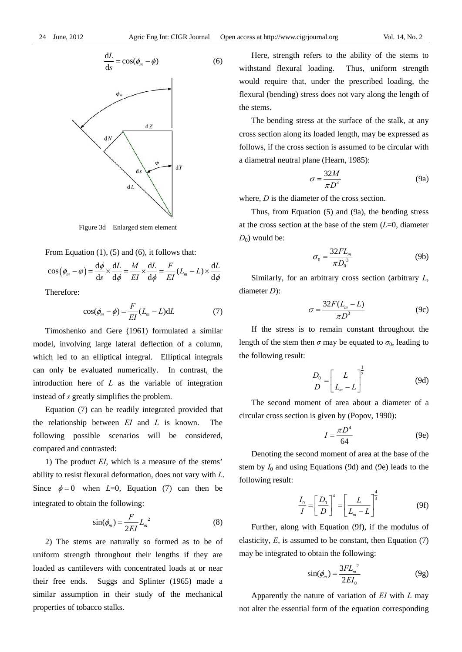

Figure 3d Enlarged stem element

From Equation  $(1)$ ,  $(5)$  and  $(6)$ , it follows that:

$$
\cos\left(\phi_m - \varphi\right) = \frac{\mathrm{d}\phi}{\mathrm{d}s} \times \frac{\mathrm{d}L}{\mathrm{d}\phi} = \frac{M}{EI} \times \frac{\mathrm{d}L}{\mathrm{d}\phi} = \frac{F}{EI} (L_m - L) \times \frac{\mathrm{d}L}{\mathrm{d}\phi}
$$

Therefore:

$$
\cos(\phi_m - \phi) = \frac{F}{EI}(L_m - L)dL \tag{7}
$$

Timoshenko and Gere (1961) formulated a similar model, involving large lateral deflection of a column, which led to an elliptical integral. Elliptical integrals can only be evaluated numerically. In contrast, the introduction here of *L* as the variable of integration instead of *s* greatly simplifies the problem.

Equation (7) can be readily integrated provided that the relationship between *EI* and *L* is known. The following possible scenarios will be considered, compared and contrasted:

1) The product *EI*, which is a measure of the stems' ability to resist flexural deformation, does not vary with *L*. Since  $\phi = 0$  when *L*=0, Equation (7) can then be integrated to obtain the following:

$$
\sin(\phi_m) = \frac{F}{2EI} L_m^2 \tag{8}
$$

2) The stems are naturally so formed as to be of uniform strength throughout their lengths if they are loaded as cantilevers with concentrated loads at or near their free ends. Suggs and Splinter (1965) made a similar assumption in their study of the mechanical properties of tobacco stalks.

Here, strength refers to the ability of the stems to withstand flexural loading. Thus, uniform strength would require that, under the prescribed loading, the flexural (bending) stress does not vary along the length of the stems.

The bending stress at the surface of the stalk, at any cross section along its loaded length, may be expressed as follows, if the cross section is assumed to be circular with a diametral neutral plane (Hearn, 1985):

$$
\sigma = \frac{32M}{\pi D^3} \tag{9a}
$$

where, *D* is the diameter of the cross section.

Thus, from Equation (5) and (9a), the bending stress at the cross section at the base of the stem (*L*=0, diameter  $D_0$ ) would be:

$$
\sigma_0 = \frac{32FL_m}{\pi D_0^3} \tag{9b}
$$

Similarly, for an arbitrary cross section (arbitrary *L*, diameter *D*):

$$
\sigma = \frac{32F(L_m - L)}{\pi D^3} \tag{9c}
$$

If the stress is to remain constant throughout the length of the stem then  $\sigma$  may be equated to  $\sigma_0$ , leading to the following result:

$$
\frac{D_0}{D} = \left[\frac{L}{L_m - L}\right]^{\frac{1}{3}}\tag{9d}
$$

The second moment of area about a diameter of a circular cross section is given by (Popov, 1990):

$$
I = \frac{\pi D^4}{64} \tag{9e}
$$

Denoting the second moment of area at the base of the stem by  $I_0$  and using Equations (9d) and (9e) leads to the following result:

$$
\frac{I_0}{I} = \left[\frac{D_0}{D}\right]^4 = \left[\frac{L}{L_m - L}\right]^{\frac{4}{3}}\tag{9f}
$$

Further, along with Equation (9f), if the modulus of elasticity, *E*, is assumed to be constant, then Equation (7) may be integrated to obtain the following:

$$
\sin(\phi_m) = \frac{3FL_m^2}{2EI_0} \tag{9g}
$$

Apparently the nature of variation of *EI* with *L* may not alter the essential form of the equation corresponding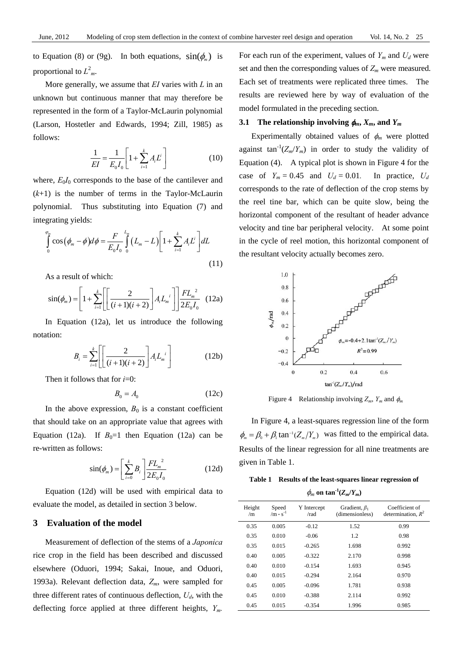to Equation (8) or (9g). In both equations,  $sin(\phi)$  is proportional to  $L^2_m$ .

More generally, we assume that *EI* varies with *L* in an unknown but continuous manner that may therefore be represented in the form of a Taylor-McLaurin polynomial (Larson, Hostetler and Edwards, 1994; Zill, 1985) as follows:

$$
\frac{1}{EI} = \frac{1}{E_0 I_0} \left[ 1 + \sum_{i=1}^{k} A_i L^i \right]
$$
 (10)

where,  $E_0I_0$  corresponds to the base of the cantilever and  $(k+1)$  is the number of terms in the Taylor-McLaurin polynomial. Thus substituting into Equation (7) and integrating yields:

$$
\int_{0}^{\varphi_{m}} \cos (\phi_{m} - \phi) d\phi = \frac{F}{E_{0} I_{0}} \int_{0}^{L_{m}} (L_{m} - L) \left[ 1 + \sum_{i=1}^{k} A_{i} L^{i} \right] dL
$$
\n(11)

As a result of which:

$$
\sin(\phi_m) = \left[1 + \sum_{i=1}^{k} \left[ \left[ \frac{2}{(i+1)(i+2)} \right] A_i L_m^{i} \right] \right] \frac{FL_m^{2}}{2E_0 I_0} \tag{12a}
$$

In Equation (12a), let us introduce the following notation:

$$
B_i = \sum_{i=1}^{k} \left[ \left[ \frac{2}{(i+1)(i+2)} \right] A_i L_m^{i} \right] \tag{12b}
$$

Then it follows that for *i*=0:

$$
B_0 = A_0 \tag{12c}
$$

In the above expression,  $B_0$  is a constant coefficient that should take on an appropriate value that agrees with Equation (12a). If  $B_0=1$  then Equation (12a) can be re-written as follows:

$$
\sin(\phi_m) = \left[\sum_{i=0}^{k} B_i\right] \frac{FL_m^2}{2E_0I_0} \tag{12d}
$$

Equation (12d) will be used with empirical data to evaluate the model, as detailed in section 3 below.

#### **3 Evaluation of the model**

Measurement of deflection of the stems of a *Japonica*  rice crop in the field has been described and discussed elsewhere (Oduori, 1994; Sakai, Inoue, and Oduori, 1993a). Relevant deflection data, *Zm*, were sampled for three different rates of continuous deflection,  $U_d$ , with the deflecting force applied at three different heights, *Ym.*

For each run of the experiment, values of  $Y_m$  and  $U_d$  were set and then the corresponding values of  $Z_m$  were measured. Each set of treatments were replicated three times. The results are reviewed here by way of evaluation of the model formulated in the preceding section.

#### **3.1** The relationship involving  $\phi_m$ ,  $X_m$ , and  $Y_m$

Experimentally obtained values of  $\phi_m$  were plotted against tan<sup>-1</sup>( $Z_m/Y_m$ ) in order to study the validity of Equation (4). A typical plot is shown in Figure 4 for the case of  $Y_m = 0.45$  and  $U_d = 0.01$ . In practice,  $U_d$ corresponds to the rate of deflection of the crop stems by the reel tine bar, which can be quite slow, being the horizontal component of the resultant of header advance velocity and tine bar peripheral velocity. At some point in the cycle of reel motion, this horizontal component of the resultant velocity actually becomes zero.



Figure 4 Relationship involving  $Z_m$ ,  $Y_m$  and  $\phi_m$ 

In Figure 4, a least-squares regression line of the form  $\phi_m = \beta_0 + \beta_1 \tan^{-1}(Z_m/Y_m)$  was fitted to the empirical data. Results of the linear regression for all nine treatments are given in Table 1.

**Table 1 Results of the least-squares linear regression of**   $\phi_m$  on tan<sup>-1</sup>( $Z_m/Y_m$ )

| Height<br>/m | Speed<br>/m $\cdot$ s <sup>-1</sup> | Y Intercept<br>/rad | Gradient, $\beta_1$<br>(dimensionless) | Coefficient of<br>determination, $R^2$ |
|--------------|-------------------------------------|---------------------|----------------------------------------|----------------------------------------|
| 0.35         | 0.005                               | $-0.12$             | 1.52                                   | 0.99                                   |
| 0.35         | 0.010                               | $-0.06$             | 1.2                                    | 0.98                                   |
| 0.35         | 0.015                               | $-0.265$            | 1.698                                  | 0.992                                  |
| 0.40         | 0.005                               | $-0.322$            | 2.170                                  | 0.998                                  |
| 0.40         | 0.010                               | $-0.154$            | 1.693                                  | 0.945                                  |
| 0.40         | 0.015                               | $-0.294$            | 2.164                                  | 0.970                                  |
| 0.45         | 0.005                               | $-0.096$            | 1.781                                  | 0.938                                  |
| 0.45         | 0.010                               | $-0.388$            | 2.114                                  | 0.992                                  |
| 0.45         | 0.015                               | $-0.354$            | 1.996                                  | 0.985                                  |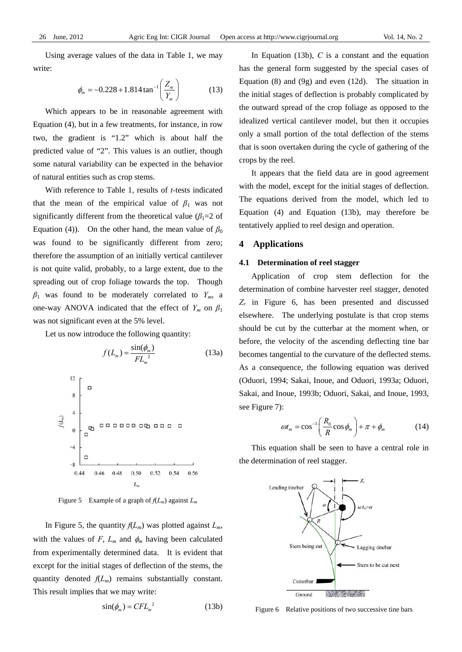Using average values of the data in Table 1, we may write:

$$
\phi_m = -0.228 + 1.814 \tan^{-1} \left( \frac{Z_m}{Y_m} \right) \tag{13}
$$

Which appears to be in reasonable agreement with Equation (4), but in a few treatments, for instance, in row two, the gradient is "1.2" which is about half the predicted value of "2". This values is an outlier, though some natural variability can be expected in the behavior of natural entities such as crop stems.

With reference to Table 1, results of *t-*tests indicated that the mean of the empirical value of  $\beta_1$  was not significantly different from the theoretical value ( $\beta_1$ =2 of Equation (4)). On the other hand, the mean value of  $\beta_0$ was found to be significantly different from zero; therefore the assumption of an initially vertical cantilever is not quite valid, probably, to a large extent, due to the spreading out of crop foliage towards the top. Though  $\beta_1$  was found to be moderately correlated to  $Y_m$ , a one-way ANOVA indicated that the effect of  $Y_m$  on  $\beta_1$ was not significant even at the 5% level.

Let us now introduce the following quantity:

$$
f(L_m) = \frac{\sin(\phi_m)}{FL_m^2}
$$
(13a)  

$$
\frac{12}{8}
$$
  

$$
\frac{1}{8}
$$
  

$$
\frac{1}{8}
$$
  

$$
\frac{1}{8}
$$
  

$$
\frac{1}{8}
$$
  

$$
\frac{1}{8}
$$
  

$$
\frac{1}{8}
$$
  

$$
\frac{1}{8}
$$
  

$$
\frac{1}{8}
$$
  

$$
\frac{1}{8}
$$
  

$$
\frac{1}{8}
$$
  

$$
\frac{1}{8}
$$
  

$$
\frac{1}{8}
$$
  

$$
\frac{1}{8}
$$
  

$$
\frac{1}{8}
$$
  

$$
\frac{1}{8}
$$
  

$$
\frac{1}{8}
$$
  

$$
\frac{1}{8}
$$
  

$$
\frac{1}{8}
$$
  

$$
\frac{1}{8}
$$
  

$$
\frac{1}{8}
$$
  

$$
\frac{1}{8}
$$
  

$$
\frac{1}{8}
$$
  

$$
\frac{1}{8}
$$
  

$$
\frac{1}{8}
$$
  

$$
\frac{1}{8}
$$
  

$$
\frac{1}{8}
$$
  

$$
\frac{1}{8}
$$
  

$$
\frac{1}{8}
$$
  

$$
\frac{1}{8}
$$
  

$$
\frac{1}{8}
$$
  

$$
\frac{1}{8}
$$
  

$$
\frac{1}{8}
$$
  

$$
\frac{1}{8}
$$
  

$$
\frac{1}{8}
$$
  

$$
\frac{1}{8}
$$
  

$$
\frac{1}{8}
$$
  

$$
\frac{1}{8}
$$
  

$$
\frac{1}{8}
$$
  

$$
\frac{1}{8}
$$
  

$$
\frac{1}{8}
$$
  

$$
\frac{1}{8}
$$
  

$$
\frac{1}{8}
$$
  

$$
\frac{1}{8}
$$
  

$$
\frac{1}{8}
$$
  

$$
\frac{1}{8}
$$
  

$$
\frac{1}{8}
$$
  

$$
\frac{1}{8}
$$
  

$$
\frac{1}{8}
$$

Figure 5 Example of a graph of *f*(*Lm*) against *Lm*

In Figure 5, the quantity  $f(L_m)$  was plotted against  $L_m$ , with the values of  $F$ ,  $L_m$  and  $\phi_m$  having been calculated from experimentally determined data. It is evident that except for the initial stages of deflection of the stems, the quantity denoted  $f(L_m)$  remains substantially constant. This result implies that we may write:

$$
\sin(\phi_m) = CFL_m^2 \tag{13b}
$$

In Equation (13b), *C* is a constant and the equation has the general form suggested by the special cases of Equation (8) and (9g) and even (12d). The situation in the initial stages of deflection is probably complicated by the outward spread of the crop foliage as opposed to the idealized vertical cantilever model, but then it occupies only a small portion of the total deflection of the stems that is soon overtaken during the cycle of gathering of the crops by the reel.

It appears that the field data are in good agreement with the model, except for the initial stages of deflection. The equations derived from the model, which led to Equation (4) and Equation (13b), may therefore be tentatively applied to reel design and operation.

#### **4 Applications**

#### **4.1 Determination of reel stagger**

Application of crop stem deflection for the determination of combine harvester reel stagger, denoted *Zr* in Figure 6, has been presented and discussed elsewhere. The underlying postulate is that crop stems should be cut by the cutterbar at the moment when, or before, the velocity of the ascending deflecting tine bar becomes tangential to the curvature of the deflected stems. As a consequence, the following equation was derived (Oduori, 1994; Sakai, Inoue, and Oduori, 1993a; Oduori, Sakai, and Inoue, 1993b; Oduori, Sakai, and Inoue, 1993, see Figure 7):

$$
\omega t_m = \cos^{-1}\left(\frac{R_0}{R}\cos\phi_m\right) + \pi + \phi_m \tag{14}
$$

This equation shall be seen to have a central role in the determination of reel stagger.



Figure 6 Relative positions of two successive tine bars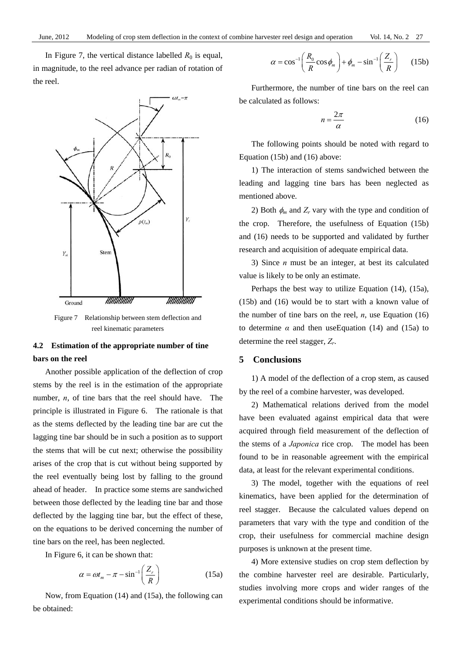In Figure 7, the vertical distance labelled  $R_0$  is equal, in magnitude, to the reel advance per radian of rotation of the reel.



Figure 7 Relationship between stem deflection and reel kinematic parameters

## **4.2 Estimation of the appropriate number of tine bars on the reel**

Another possible application of the deflection of crop stems by the reel is in the estimation of the appropriate number, *n*, of tine bars that the reel should have. The principle is illustrated in Figure 6. The rationale is that as the stems deflected by the leading tine bar are cut the lagging tine bar should be in such a position as to support the stems that will be cut next; otherwise the possibility arises of the crop that is cut without being supported by the reel eventually being lost by falling to the ground ahead of header. In practice some stems are sandwiched between those deflected by the leading tine bar and those deflected by the lagging tine bar, but the effect of these, on the equations to be derived concerning the number of tine bars on the reel, has been neglected.

In Figure 6, it can be shown that:

$$
\alpha = \omega t_m - \pi - \sin^{-1}\left(\frac{Z_r}{R}\right) \tag{15a}
$$

Now, from Equation (14) and (15a), the following can be obtained:

$$
\alpha = \cos^{-1}\left(\frac{R_0}{R}\cos\phi_m\right) + \phi_m - \sin^{-1}\left(\frac{Z_r}{R}\right) \quad (15b)
$$

Furthermore, the number of tine bars on the reel can be calculated as follows:

$$
n = \frac{2\pi}{\alpha} \tag{16}
$$

The following points should be noted with regard to Equation (15b) and (16) above:

1) The interaction of stems sandwiched between the leading and lagging tine bars has been neglected as mentioned above.

2) Both  $\phi_m$  and  $Z_r$  vary with the type and condition of the crop. Therefore, the usefulness of Equation (15b) and (16) needs to be supported and validated by further research and acquisition of adequate empirical data.

3) Since *n* must be an integer, at best its calculated value is likely to be only an estimate.

Perhaps the best way to utilize Equation (14), (15a), (15b) and (16) would be to start with a known value of the number of tine bars on the reel,  $n$ , use Equation  $(16)$ to determine  $\alpha$  and then useEquation (14) and (15a) to determine the reel stagger, *Zr*.

#### **5 Conclusions**

1) A model of the deflection of a crop stem, as caused by the reel of a combine harvester, was developed.

2) Mathematical relations derived from the model have been evaluated against empirical data that were acquired through field measurement of the deflection of the stems of a *Japonica* rice crop. The model has been found to be in reasonable agreement with the empirical data, at least for the relevant experimental conditions.

3) The model, together with the equations of reel kinematics, have been applied for the determination of reel stagger. Because the calculated values depend on parameters that vary with the type and condition of the crop, their usefulness for commercial machine design purposes is unknown at the present time.

4) More extensive studies on crop stem deflection by the combine harvester reel are desirable. Particularly, studies involving more crops and wider ranges of the experimental conditions should be informative.